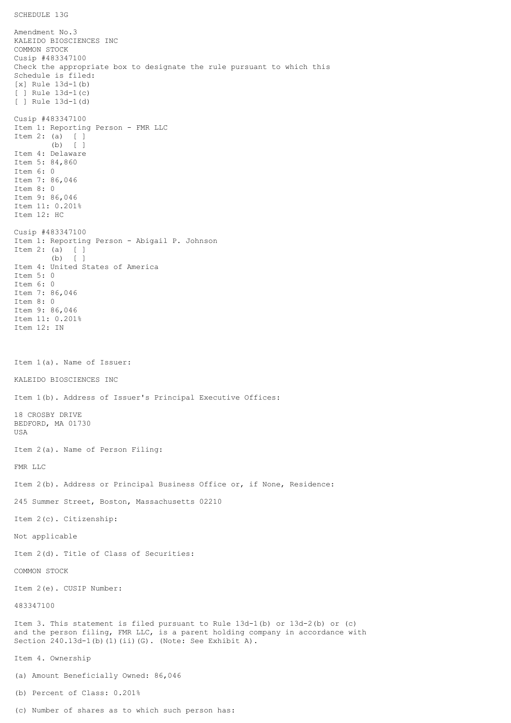SCHEDULE 13G

Amendment No.3 KALEIDO BIOSCIENCES INC COMMON STOCK Cusip #483347100 Check the appropriate box to designate the rule pursuant to which this Schedule is filed: [x] Rule 13d-1(b) [ ] Rule 13d-1(c) [ ] Rule 13d-1(d) Cusip #483347100 Item 1: Reporting Person - FMR LLC Item 2: (a) [ ] (b) [ ] Item 4: Delaware Item 5: 84,860 Item 6: 0 Item 7: 86,046 Item 8: 0 Item 9: 86,046 Item 11: 0.201% Item 12: HC Cusip #483347100 Item 1: Reporting Person - Abigail P. Johnson Item 2: (a) [ ] (b) [ ] Item 4: United States of America Item 5: 0 Item 6: 0 Item 7: 86,046 Item 8: 0 Item 9: 86,046 Item 11: 0.201% Item 12: IN Item 1(a). Name of Issuer: KALEIDO BIOSCIENCES INC Item 1(b). Address of Issuer's Principal Executive Offices: 18 CROSBY DRIVE BEDFORD, MA 01730 USA Item 2(a). Name of Person Filing: FMR LLC Item 2(b). Address or Principal Business Office or, if None, Residence: 245 Summer Street, Boston, Massachusetts 02210 Item 2(c). Citizenship: Not applicable Item 2(d). Title of Class of Securities: COMMON STOCK Item 2(e). CUSIP Number: 483347100 Item 3. This statement is filed pursuant to Rule 13d-1(b) or 13d-2(b) or (c) and the person filing, FMR LLC, is a parent holding company in accordance with Section 240.13d-1(b)(1)(ii)(G). (Note: See Exhibit A). Item 4. Ownership (a) Amount Beneficially Owned: 86,046 (b) Percent of Class: 0.201%

(c) Number of shares as to which such person has: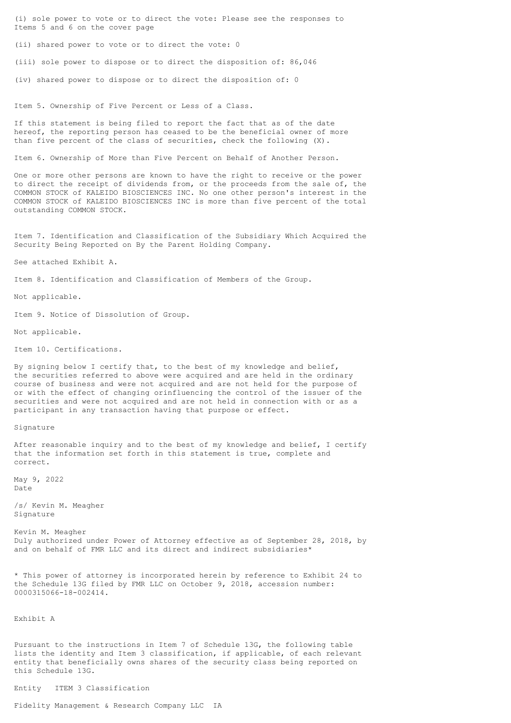(i) sole power to vote or to direct the vote: Please see the responses to Items 5 and 6 on the cover page

(ii) shared power to vote or to direct the vote: 0

(iii) sole power to dispose or to direct the disposition of: 86,046

(iv) shared power to dispose or to direct the disposition of: 0

Item 5. Ownership of Five Percent or Less of a Class.

If this statement is being filed to report the fact that as of the date hereof, the reporting person has ceased to be the beneficial owner of more than five percent of the class of securities, check the following (X).

Item 6. Ownership of More than Five Percent on Behalf of Another Person.

One or more other persons are known to have the right to receive or the power to direct the receipt of dividends from, or the proceeds from the sale of, the COMMON STOCK of KALEIDO BIOSCIENCES INC. No one other person's interest in the COMMON STOCK of KALEIDO BIOSCIENCES INC is more than five percent of the total outstanding COMMON STOCK.

Item 7. Identification and Classification of the Subsidiary Which Acquired the Security Being Reported on By the Parent Holding Company.

See attached Exhibit A.

Item 8. Identification and Classification of Members of the Group.

Not applicable.

Item 9. Notice of Dissolution of Group.

Not applicable.

Item 10. Certifications.

By signing below I certify that, to the best of my knowledge and belief, the securities referred to above were acquired and are held in the ordinary course of business and were not acquired and are not held for the purpose of or with the effect of changing orinfluencing the control of the issuer of the securities and were not acquired and are not held in connection with or as a participant in any transaction having that purpose or effect.

Signature

After reasonable inquiry and to the best of my knowledge and belief, I certify that the information set forth in this statement is true, complete and correct.

May 9, 2022 Date

/s/ Kevin M. Meagher Signature

Kevin M. Meagher Duly authorized under Power of Attorney effective as of September 28, 2018, by and on behalf of FMR LLC and its direct and indirect subsidiaries\*

\* This power of attorney is incorporated herein by reference to Exhibit 24 to the Schedule 13G filed by FMR LLC on October 9, 2018, accession number: 0000315066-18-002414.

Exhibit A

Pursuant to the instructions in Item 7 of Schedule 13G, the following table lists the identity and Item 3 classification, if applicable, of each relevant entity that beneficially owns shares of the security class being reported on this Schedule 13G.

Entity ITEM 3 Classification

Fidelity Management & Research Company LLC IA